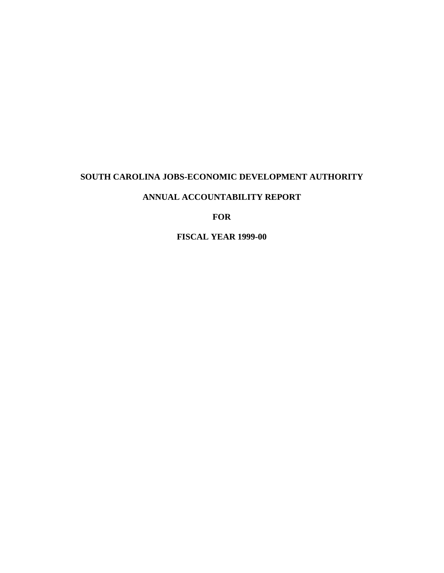# **SOUTH CAROLINA JOBS-ECONOMIC DEVELOPMENT AUTHORITY**

# **ANNUAL ACCOUNTABILITY REPORT**

**FOR**

**FISCAL YEAR 1999-00**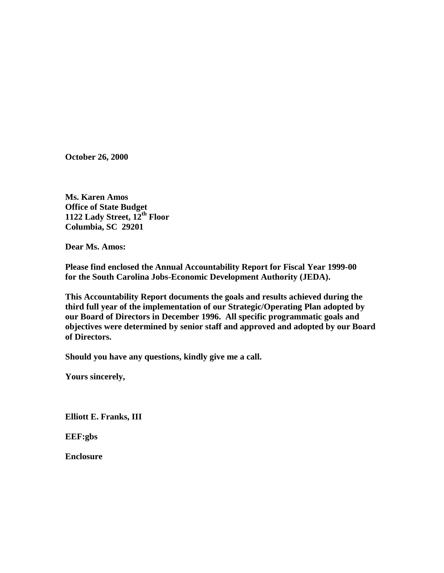**October 26, 2000**

**Ms. Karen Amos Office of State Budget 1122 Lady Street, 12th Floor Columbia, SC 29201**

**Dear Ms. Amos:**

**Please find enclosed the Annual Accountability Report for Fiscal Year 1999-00 for the South Carolina Jobs-Economic Development Authority (JEDA).**

**This Accountability Report documents the goals and results achieved during the third full year of the implementation of our Strategic/Operating Plan adopted by our Board of Directors in December 1996. All specific programmatic goals and objectives were determined by senior staff and approved and adopted by our Board of Directors.**

**Should you have any questions, kindly give me a call.**

**Yours sincerely,**

**Elliott E. Franks, III**

**EEF:gbs**

**Enclosure**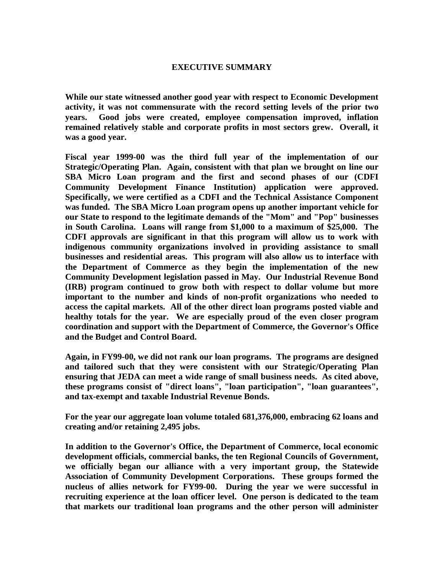# **EXECUTIVE SUMMARY**

**While our state witnessed another good year with respect to Economic Development activity, it was not commensurate with the record setting levels of the prior two years. Good jobs were created, employee compensation improved, inflation remained relatively stable and corporate profits in most sectors grew. Overall, it was a good year.**

**Fiscal year 1999-00 was the third full year of the implementation of our Strategic/Operating Plan. Again, consistent with that plan we brought on line our SBA Micro Loan program and the first and second phases of our (CDFI Community Development Finance Institution) application were approved. Specifically, we were certified as a CDFI and the Technical Assistance Component was funded. The SBA Micro Loan program opens up another important vehicle for our State to respond to the legitimate demands of the "Mom" and "Pop" businesses in South Carolina. Loans will range from \$1,000 to a maximum of \$25,000. The CDFI approvals are significant in that this program will allow us to work with indigenous community organizations involved in providing assistance to small businesses and residential areas. This program will also allow us to interface with the Department of Commerce as they begin the implementation of the new Community Development legislation passed in May. Our Industrial Revenue Bond (IRB) program continued to grow both with respect to dollar volume but more important to the number and kinds of non-profit organizations who needed to access the capital markets. All of the other direct loan programs posted viable and healthy totals for the year. We are especially proud of the even closer program coordination and support with the Department of Commerce, the Governor's Office and the Budget and Control Board.**

**Again, in FY99-00, we did not rank our loan programs. The programs are designed and tailored such that they were consistent with our Strategic/Operating Plan ensuring that JEDA can meet a wide range of small business needs. As cited above, these programs consist of "direct loans", "loan participation", "loan guarantees", and tax-exempt and taxable Industrial Revenue Bonds.**

**For the year our aggregate loan volume totaled 681,376,000, embracing 62 loans and creating and/or retaining 2,495 jobs.**

**In addition to the Governor's Office, the Department of Commerce, local economic development officials, commercial banks, the ten Regional Councils of Government, we officially began our alliance with a very important group, the Statewide Association of Community Development Corporations. These groups formed the nucleus of allies network for FY99-00. During the year we were successful in recruiting experience at the loan officer level. One person is dedicated to the team that markets our traditional loan programs and the other person will administer**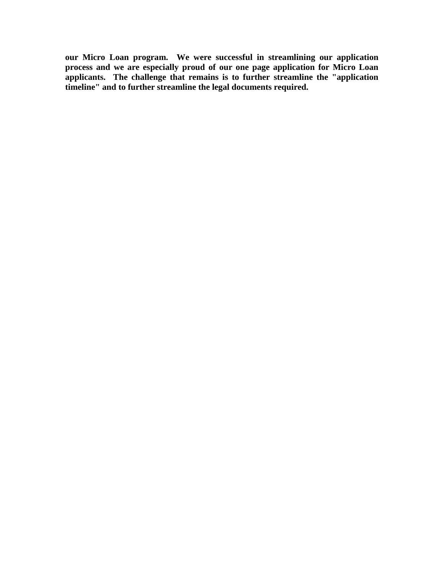**our Micro Loan program. We were successful in streamlining our application process and we are especially proud of our one page application for Micro Loan applicants. The challenge that remains is to further streamline the "application timeline" and to further streamline the legal documents required.**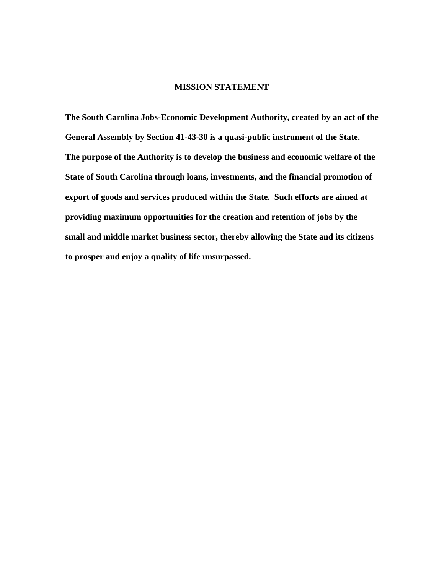# **MISSION STATEMENT**

**The South Carolina Jobs-Economic Development Authority, created by an act of the General Assembly by Section 41-43-30 is a quasi-public instrument of the State. The purpose of the Authority is to develop the business and economic welfare of the State of South Carolina through loans, investments, and the financial promotion of export of goods and services produced within the State. Such efforts are aimed at providing maximum opportunities for the creation and retention of jobs by the small and middle market business sector, thereby allowing the State and its citizens to prosper and enjoy a quality of life unsurpassed.**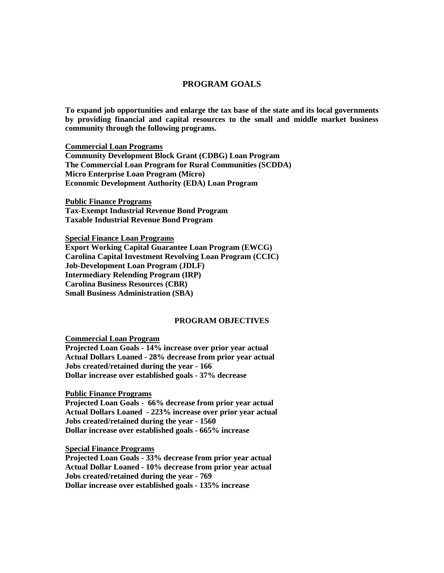## **PROGRAM GOALS**

**To expand job opportunities and enlarge the tax base of the state and its local governments by providing financial and capital resources to the small and middle market business community through the following programs.**

**Commercial Loan Programs Community Development Block Grant (CDBG) Loan Program The Commercial Loan Program for Rural Communities (SCDDA) Micro Enterprise Loan Program (Micro) Economic Development Authority (EDA) Loan Program**

**Public Finance Programs Tax-Exempt Industrial Revenue Bond Program Taxable Industrial Revenue Bond Program**

**Special Finance Loan Programs Export Working Capital Guarantee Loan Program (EWCG) Carolina Capital Investment Revolving Loan Program (CCIC) Job-Development Loan Program (JDLF) Intermediary Relending Program (IRP) Carolina Business Resources (CBR) Small Business Administration (SBA)**

#### **PROGRAM OBJECTIVES**

**Commercial Loan Program**

**Projected Loan Goals - 14% increase over prior year actual Actual Dollars Loaned - 28% decrease from prior year actual Jobs created/retained during the year - 166 Dollar increase over established goals - 37% decrease**

**Public Finance Programs**

**Projected Loan Goals - 66% decrease from prior year actual Actual Dollars Loaned - 223% increase over prior year actual Jobs created/retained during the year - 1560 Dollar increase over established goals - 665% increase**

**Special Finance Programs**

**Projected Loan Goals - 33% decrease from prior year actual Actual Dollar Loaned - 10% decrease from prior year actual Jobs created/retained during the year - 769 Dollar increase over established goals - 135% increase**